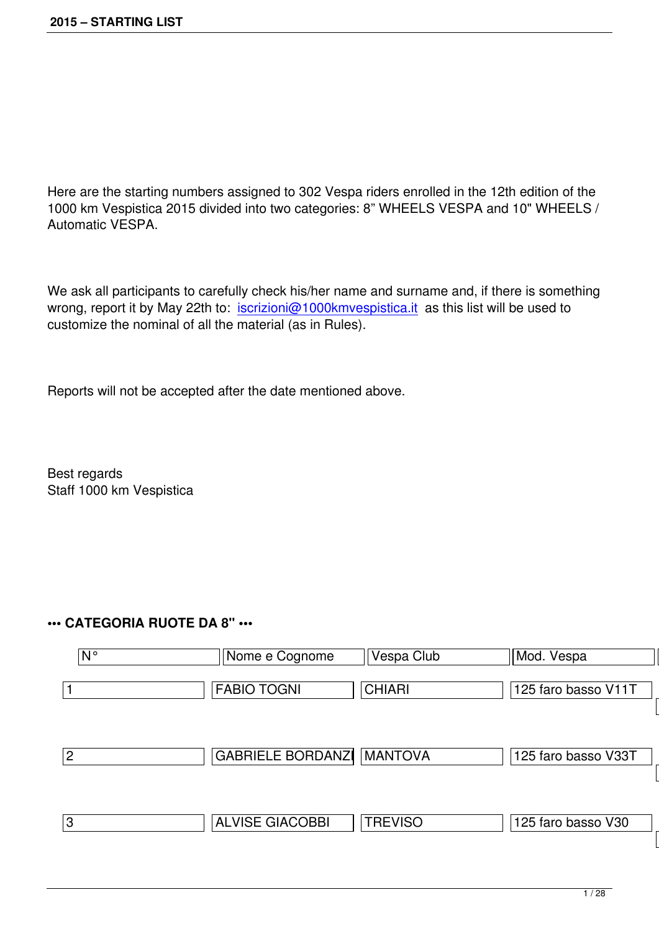Here are the starting numbers assigned to 302 Vespa riders enrolled in the 12th edition of the 1000 km Vespistica 2015 divided into two categories: 8" WHEELS VESPA and 10" WHEELS / Automatic VESPA.

We ask all participants to carefully check his/her name and surname and, if there is something wrong, report it by May 22th to: iscrizioni@1000kmvespistica.it as this list will be used to customize the nominal of all the material (as in Rules).

Reports will not be accepted after the date mentioned above.

Best regards Staff 1000 km Vespistica

## **••• CATEGORIA RUOTE DA 8" •••**

| $N^{\circ}$ | Nome e Cognome           | Vespa Club     | Mod. Vespa          | An  |
|-------------|--------------------------|----------------|---------------------|-----|
|             | <b>FABIO TOGNI</b>       | CHIARI         | 125 faro basso V11T | 194 |
| 2           | <b>GABRIELE BORDANZI</b> | <b>MANTOVA</b> | 125 faro basso V33T | 195 |
| ΙЗ          | <b>ALVISE GIACOBBI</b>   | <b>TREVISO</b> | 125 faro basso V30  | 195 |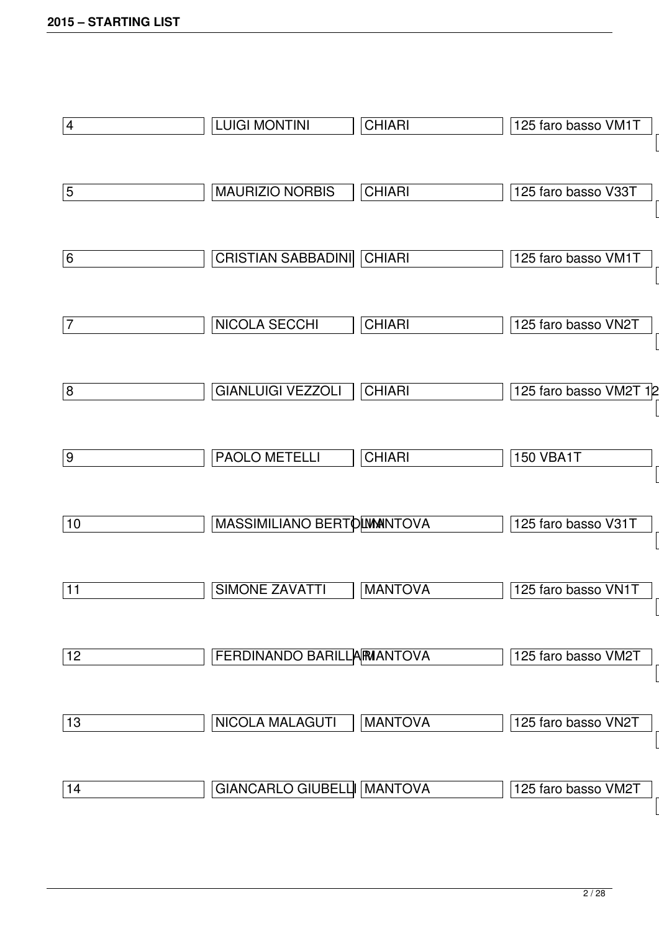| 4  | <b>LUIGI MONTINI</b>        | <b>CHIARI</b>  | 125 faro basso VM1T    |
|----|-----------------------------|----------------|------------------------|
| 5  | <b>MAURIZIO NORBIS</b>      | <b>CHIARI</b>  | 125 faro basso V33T    |
| 6  | <b>CRISTIAN SABBADINI</b>   | <b>CHIARI</b>  | 125 faro basso VM1T    |
| 7  | NICOLA SECCHI               | <b>CHIARI</b>  | 125 faro basso VN2T    |
| 8  | <b>GIANLUIGI VEZZOLI</b>    | <b>CHIARI</b>  | 125 faro basso VM2T 12 |
| 9  | <b>PAOLO METELLI</b>        | <b>CHIARI</b>  | <b>150 VBA1T</b>       |
| 10 | MASSIMILIANO BERTO MANTOVA  |                | 125 faro basso V31T    |
| 11 | <b>SIMONE ZAVATTI</b>       | <b>MANTOVA</b> | 125 faro basso VN1T    |
| 12 | FERDINANDO BARILLA MANTOVA  |                | 125 faro basso VM2T    |
| 13 | NICOLA MALAGUTI             | <b>MANTOVA</b> | 125 faro basso VN2T    |
| 14 | GIANCARLO GIUBELL   MANTOVA |                | 125 faro basso VM2T    |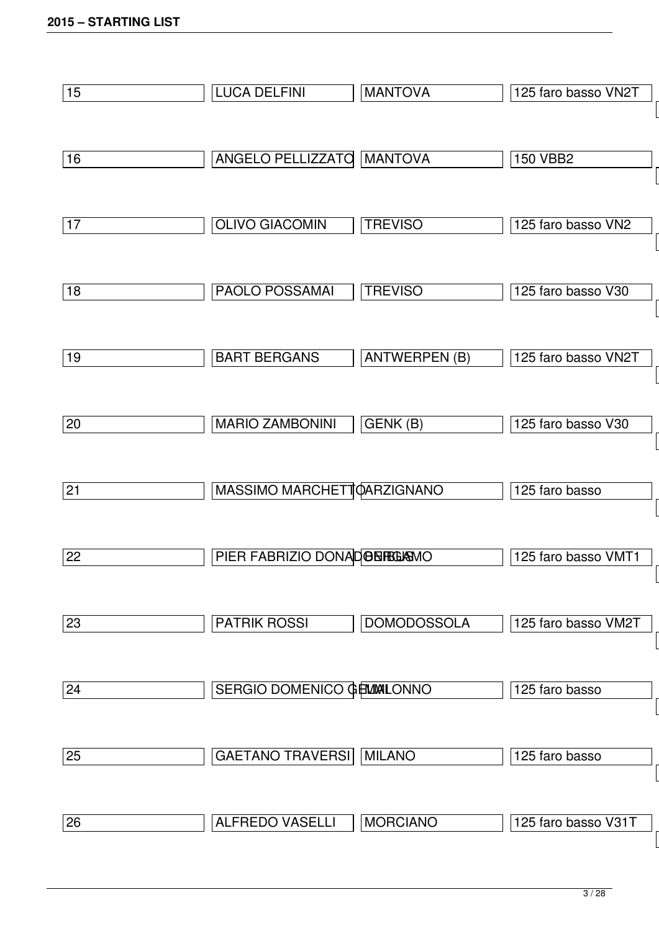| 15 | <b>LUCA DELFINI</b>               | <b>MANTOVA</b>       | 125 faro basso VN2T |
|----|-----------------------------------|----------------------|---------------------|
|    |                                   |                      |                     |
| 16 | ANGELO PELLIZZATO                 | <b>MANTOVA</b>       | <b>150 VBB2</b>     |
|    |                                   |                      |                     |
| 17 | <b>OLIVO GIACOMIN</b>             | <b>TREVISO</b>       | 125 faro basso VN2  |
|    |                                   |                      |                     |
| 18 | <b>PAOLO POSSAMAI</b>             | <b>TREVISO</b>       | 125 faro basso V30  |
|    |                                   |                      |                     |
| 19 | <b>BART BERGANS</b>               | <b>ANTWERPEN (B)</b> | 125 faro basso VN2T |
|    |                                   |                      |                     |
| 20 | <b>MARIO ZAMBONINI</b>            | GENK(B)              | 125 faro basso V30  |
|    |                                   |                      |                     |
| 21 | MASSIMO MARCHETTOARZIGNANO        |                      | 125 faro basso      |
|    |                                   |                      |                     |
| 22 | PIER FABRIZIO DONAD BERGAMO       |                      | 125 faro basso VMT1 |
|    |                                   |                      |                     |
| 23 | <b>PATRIK ROSSI</b>               | <b>DOMODOSSOLA</b>   | 125 faro basso VM2T |
|    |                                   |                      |                     |
| 24 | <b>SERGIO DOMENICO GEMMALONNO</b> |                      | 125 faro basso      |
|    |                                   |                      |                     |
|    |                                   |                      |                     |
| 25 | <b>GAETANO TRAVERSI</b>           | <b>MILANO</b>        | 125 faro basso      |
| 26 | <b>ALFREDO VASELLI</b>            | <b>MORCIANO</b>      | 125 faro basso V31T |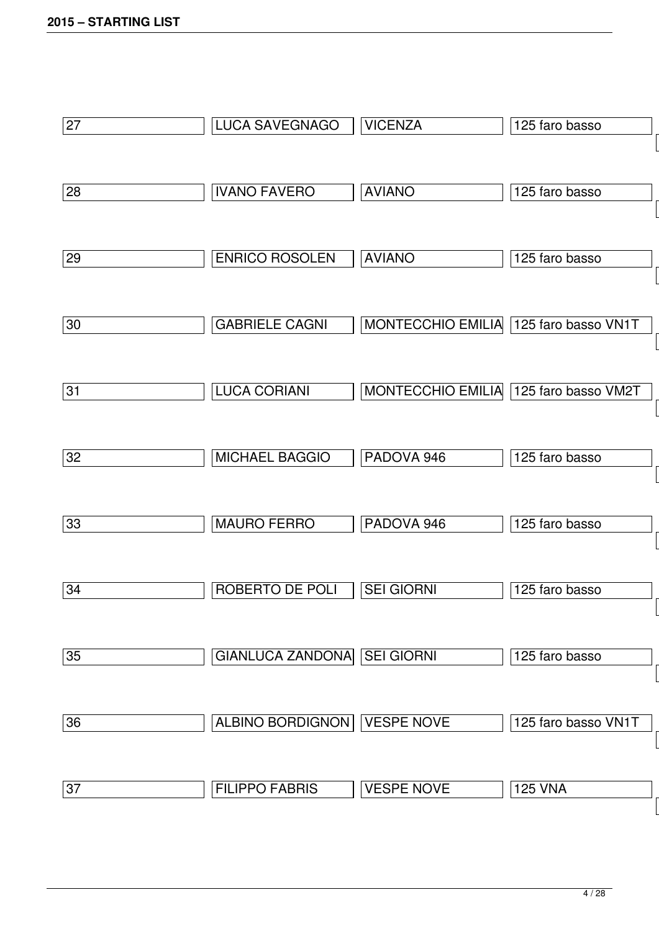| 27 | LUCA SAVEGNAGO              | <b>VICENZA</b>                        | 125 faro basso      |
|----|-----------------------------|---------------------------------------|---------------------|
| 28 | <b>IVANO FAVERO</b>         | <b>AVIANO</b>                         | 125 faro basso      |
| 29 | <b>ENRICO ROSOLEN</b>       | <b>AVIANO</b>                         | 125 faro basso      |
| 30 | <b>GABRIELE CAGNI</b>       | MONTECCHIO EMILIA 125 faro basso VN1T |                     |
| 31 | <b>LUCA CORIANI</b>         | MONTECCHIO EMILIA 125 faro basso VM2T |                     |
| 32 | <b>MICHAEL BAGGIO</b>       | PADOVA 946                            | 125 faro basso      |
| 33 | <b>MAURO FERRO</b>          | PADOVA 946                            | 125 faro basso      |
| 34 | ROBERTO DE POLI             | <b>SEI GIORNI</b>                     | 125 faro basso      |
| 35 | GIANLUCA ZANDONA SEI GIORNI |                                       | 125 faro basso      |
| 36 | ALBINO BORDIGNON            | <b>VESPE NOVE</b>                     | 125 faro basso VN1T |
| 37 | <b>FILIPPO FABRIS</b>       | <b>VESPE NOVE</b>                     | <b>125 VNA</b>      |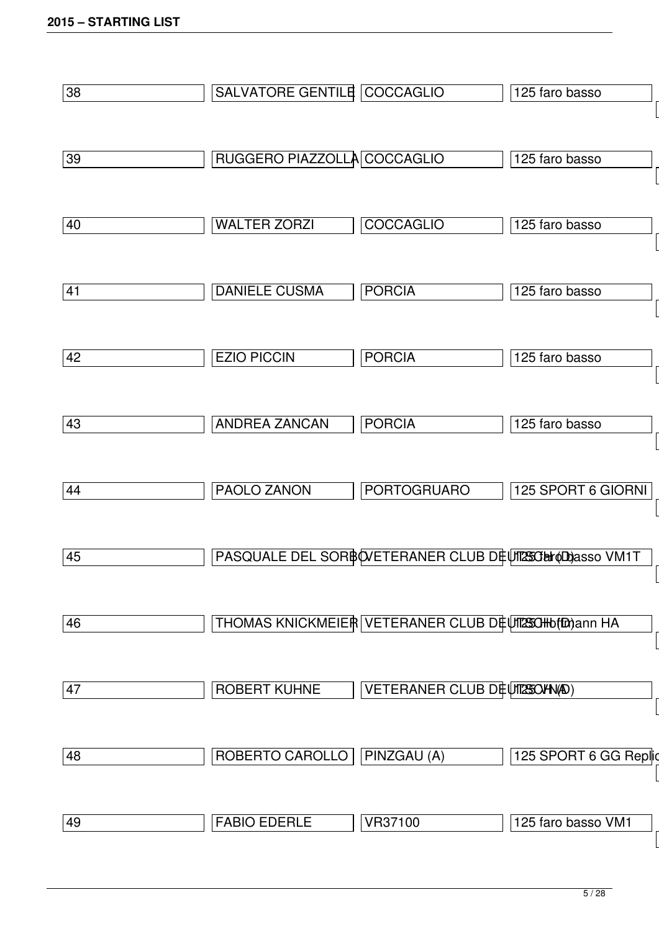| 38 | SALVATORE GENTILE COCCAGLIO |                                                       | 125 faro basso        |
|----|-----------------------------|-------------------------------------------------------|-----------------------|
| 39 | RUGGERO PIAZZOLLA COCCAGLIO |                                                       | 125 faro basso        |
| 40 | <b>WALTER ZORZI</b>         | <b>COCCAGLIO</b>                                      | 125 faro basso        |
| 41 | <b>DANIELE CUSMA</b>        | <b>PORCIA</b>                                         | 125 faro basso        |
| 42 | <b>EZIO PICCIN</b>          | <b>PORCIA</b>                                         | 125 faro basso        |
| 43 | <b>ANDREA ZANCAN</b>        | <b>PORCIA</b>                                         | 125 faro basso        |
| 44 | <b>PAOLO ZANON</b>          | <b>PORTOGRUARO</b>                                    | 125 SPORT 6 GIORNI    |
| 45 |                             | PASQUALE DEL SORBOVETERANER CLUB DEUTASGENODASSO VM1T |                       |
| 46 |                             | THOMAS KNICKMEIER VETERANER CLUB DEUT250Hb(t0) ann HA |                       |
| 47 | <b>ROBERT KUHNE</b>         | VETERANER CLUB DEUTES OF NOD)                         |                       |
| 48 | ROBERTO CAROLLO             | PINZGAU (A)                                           | 125 SPORT 6 GG Replic |
| 49 | <b>FABIO EDERLE</b>         | VR37100                                               | 125 faro basso VM1    |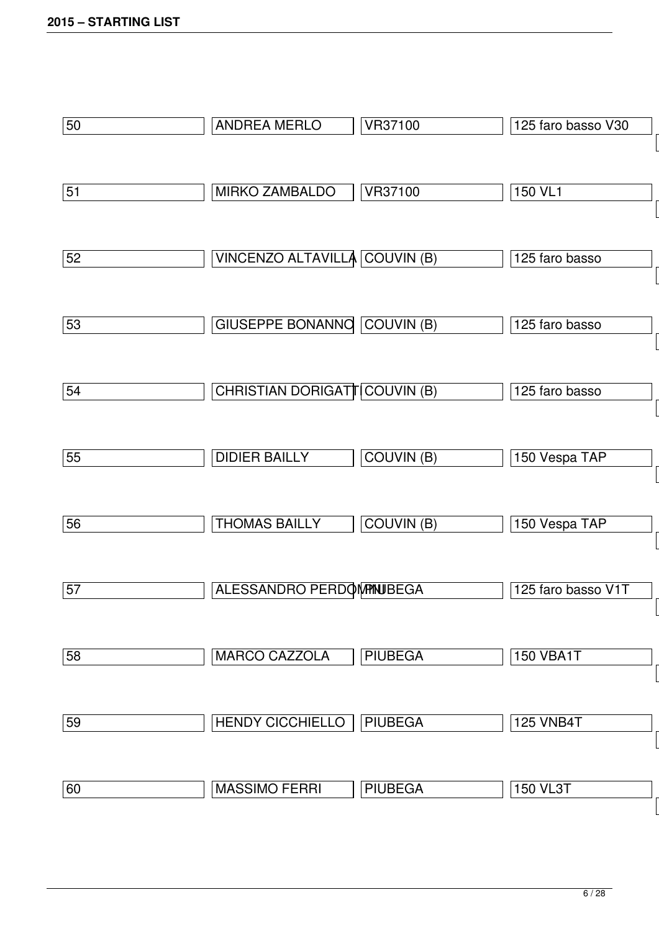| 50 | <b>ANDREA MERLO</b>                  | VR37100           | 125 faro basso V30 |
|----|--------------------------------------|-------------------|--------------------|
| 51 | <b>MIRKO ZAMBALDO</b>                | VR37100           | 150 VL1            |
| 52 | VINCENZO ALTAVILLA COUVIN (B)        |                   | 125 faro basso     |
| 53 | GIUSEPPE BONANNO COUVIN (B)          |                   | 125 faro basso     |
| 54 | <b>CHRISTIAN DORIGATT COUVIN (B)</b> |                   | 125 faro basso     |
| 55 | <b>DIDIER BAILLY</b>                 | <b>COUVIN (B)</b> | 150 Vespa TAP      |
| 56 | <b>THOMAS BAILLY</b>                 | <b>COUVIN (B)</b> | 150 Vespa TAP      |
| 57 | ALESSANDRO PERDOMPINUBEGA            |                   | 125 faro basso V1T |
| 58 | <b>MARCO CAZZOLA</b>                 | <b>PIUBEGA</b>    | <b>150 VBA1T</b>   |
| 59 | <b>HENDY CICCHIELLO</b>              | <b>PIUBEGA</b>    | <b>125 VNB4T</b>   |
| 60 | <b>MASSIMO FERRI</b>                 | <b>PIUBEGA</b>    | <b>150 VL3T</b>    |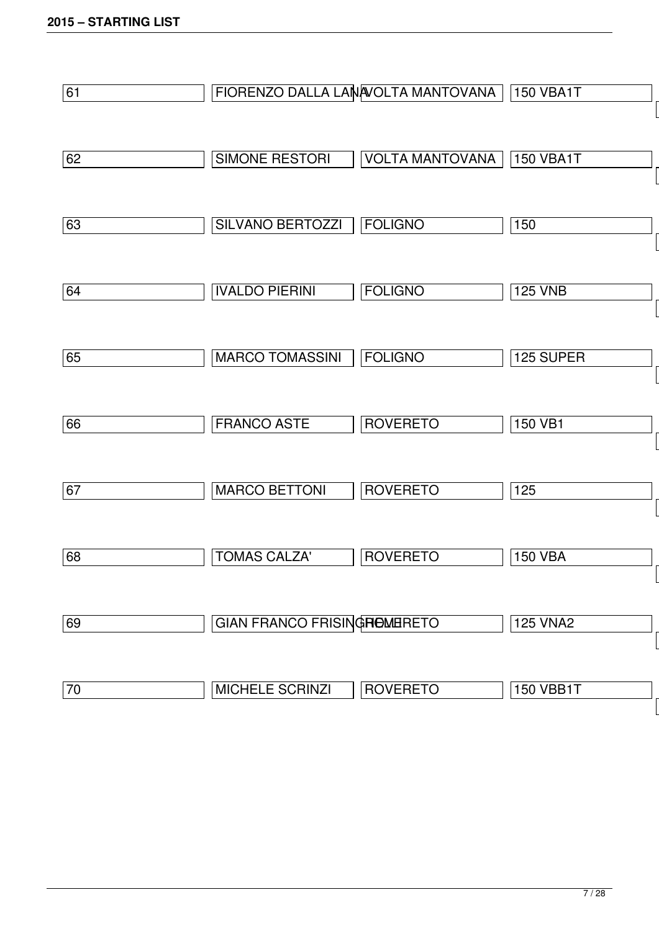| 61 |                              | FIORENZO DALLA LANAVOLTA MANTOVANA | 150 VBA1T        |
|----|------------------------------|------------------------------------|------------------|
| 62 | SIMONE RESTORI               | <b>VOLTA MANTOVANA</b>             | <b>150 VBA1T</b> |
| 63 | <b>SILVANO BERTOZZI</b>      | <b>FOLIGNO</b>                     | 150              |
| 64 | <b>IVALDO PIERINI</b>        | <b>FOLIGNO</b>                     | <b>125 VNB</b>   |
| 65 | <b>MARCO TOMASSINI</b>       | <b>FOLIGNO</b>                     | 125 SUPER        |
| 66 | <b>FRANCO ASTE</b>           | <b>ROVERETO</b>                    | 150 VB1          |
| 67 | <b>MARCO BETTONI</b>         | <b>ROVERETO</b>                    | 125              |
| 68 | <b>TOMAS CALZA'</b>          | <b>ROVERETO</b>                    | <b>150 VBA</b>   |
| 69 | GIAN FRANCO FRISING HOMERETO |                                    | <b>125 VNA2</b>  |
| 70 | <b>MICHELE SCRINZI</b>       | <b>ROVERETO</b>                    | <b>150 VBB1T</b> |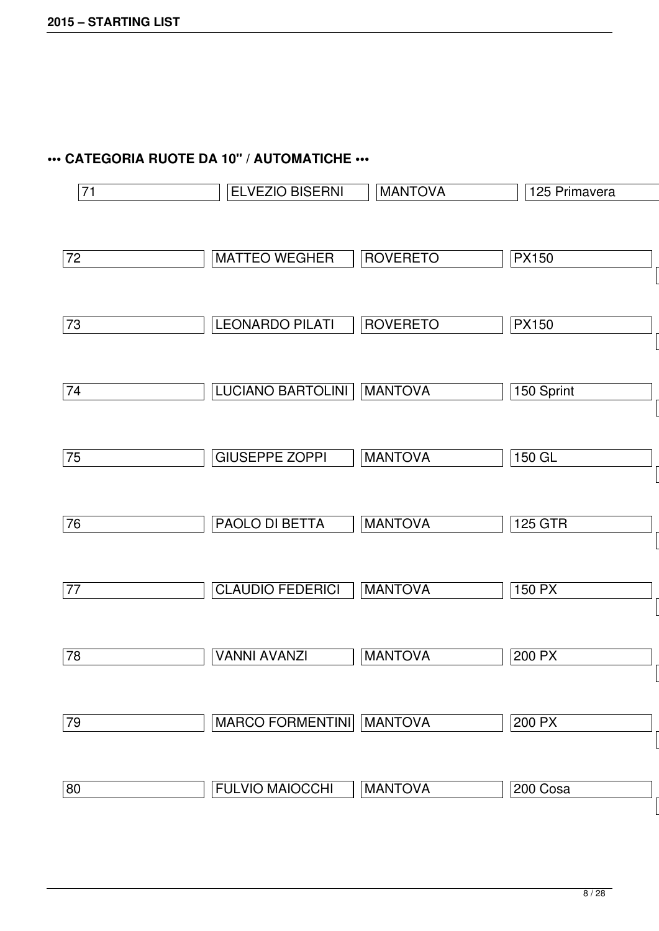## **••• CATEGORIA RUOTE DA 10" / AUTOMATICHE •••**

| 71 | ELVEZIO BISERNI                 | <b>MANTOVA</b>  | 125 Primavera  |
|----|---------------------------------|-----------------|----------------|
|    |                                 |                 |                |
| 72 | <b>MATTEO WEGHER</b>            | <b>ROVERETO</b> | <b>PX150</b>   |
| 73 | <b>LEONARDO PILATI</b>          | <b>ROVERETO</b> | <b>PX150</b>   |
|    |                                 |                 |                |
| 74 | LUCIANO BARTOLINI               | <b>MANTOVA</b>  | 150 Sprint     |
| 75 | <b>GIUSEPPE ZOPPI</b>           | <b>MANTOVA</b>  | $150$ GL       |
| 76 | PAOLO DI BETTA                  | <b>MANTOVA</b>  | <b>125 GTR</b> |
| 77 | <b>CLAUDIO FEDERICI</b>         | <b>MANTOVA</b>  | 150 PX         |
| 78 | <b>VANNI AVANZI</b>             | <b>MANTOVA</b>  | 200 PX         |
| 79 | <b>MARCO FORMENTINI MANTOVA</b> |                 | 200 PX         |
| 80 | <b>FULVIO MAIOCCHI</b>          | <b>MANTOVA</b>  | 200 Cosa       |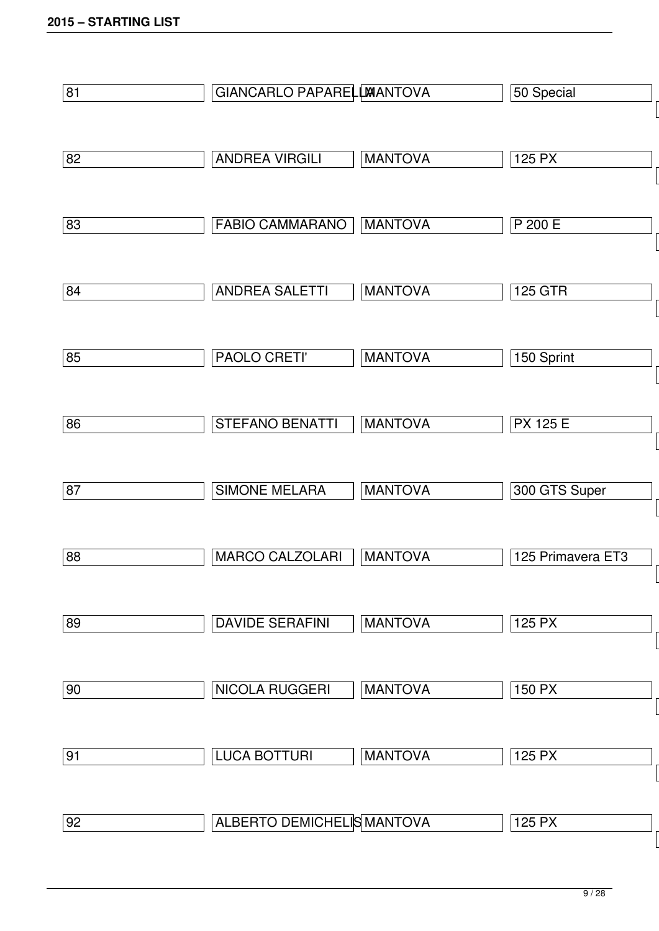| 81 | GIANCARLO PAPARELLWANTOVA  |                | 50 Special        |
|----|----------------------------|----------------|-------------------|
|    |                            |                |                   |
| 82 | <b>ANDREA VIRGILI</b>      | <b>MANTOVA</b> | 125 PX            |
|    |                            |                |                   |
| 83 | <b>FABIO CAMMARANO</b>     | <b>MANTOVA</b> | P 200 E           |
|    |                            |                |                   |
| 84 | <b>ANDREA SALETTI</b>      | <b>MANTOVA</b> | <b>125 GTR</b>    |
|    |                            |                |                   |
| 85 | PAOLO CRETI'               | <b>MANTOVA</b> | 150 Sprint        |
|    |                            |                |                   |
| 86 | <b>STEFANO BENATTI</b>     | <b>MANTOVA</b> | <b>PX 125 E</b>   |
|    |                            |                |                   |
| 87 | <b>SIMONE MELARA</b>       | <b>MANTOVA</b> | 300 GTS Super     |
|    |                            |                |                   |
| 88 | <b>MARCO CALZOLARI</b>     | <b>MANTOVA</b> | 125 Primavera ET3 |
|    |                            |                |                   |
| 89 | <b>DAVIDE SERAFINI</b>     | <b>MANTOVA</b> | 125 PX            |
|    |                            |                |                   |
| 90 | <b>NICOLA RUGGERI</b>      | <b>MANTOVA</b> | 150 PX            |
|    |                            |                |                   |
| 91 | <b>LUCA BOTTURI</b>        | <b>MANTOVA</b> | 125 PX            |
|    |                            |                |                   |
| 92 | ALBERTO DEMICHELIS MANTOVA |                | 125 PX            |
|    |                            |                |                   |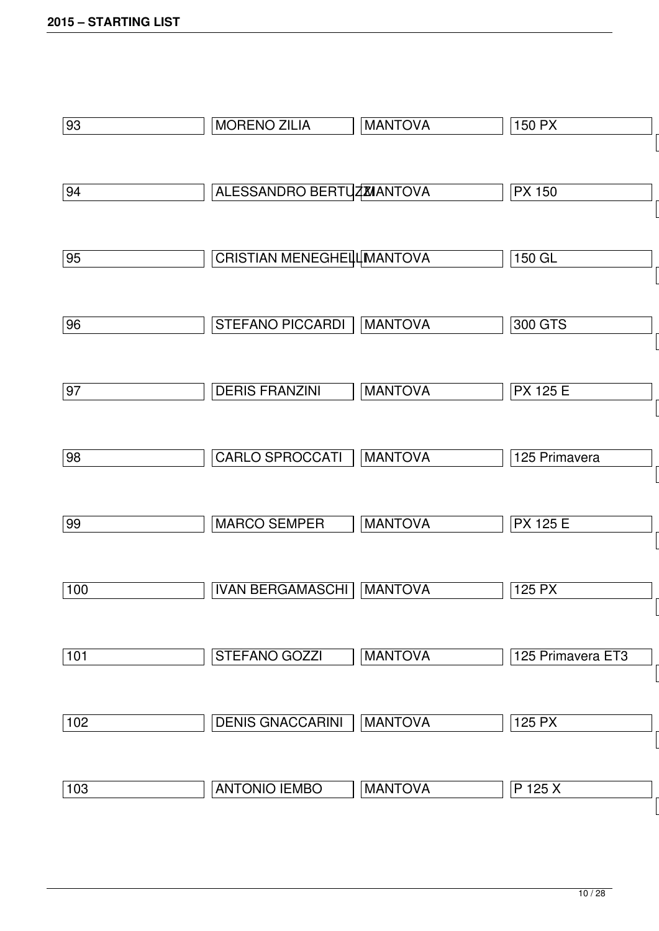| 93  | <b>MORENO ZILIA</b>               | <b>MANTOVA</b> | 150 PX            |
|-----|-----------------------------------|----------------|-------------------|
| 94  | <b>ALESSANDRO BERTUZMANTOVA</b>   |                | <b>PX 150</b>     |
| 95  | <b>CRISTIAN MENEGHELLIMANTOVA</b> |                | 150 GL            |
| 96  | <b>STEFANO PICCARDI</b>           | <b>MANTOVA</b> | 300 GTS           |
| 97  | <b>DERIS FRANZINI</b>             | <b>MANTOVA</b> | <b>PX 125 E</b>   |
| 98  | <b>CARLO SPROCCATI</b>            | <b>MANTOVA</b> | 125 Primavera     |
| 99  | <b>MARCO SEMPER</b>               | <b>MANTOVA</b> | <b>PX 125 E</b>   |
| 100 | <b>IVAN BERGAMASCHI</b>           | <b>MANTOVA</b> | $125$ PX          |
| 101 | <b>STEFANO GOZZI</b>              | <b>MANTOVA</b> | 125 Primavera ET3 |
| 102 | <b>DENIS GNACCARINI</b>           | <b>MANTOVA</b> | $125$ PX          |
| 103 | <b>ANTONIO IEMBO</b>              | <b>MANTOVA</b> | P 125 X           |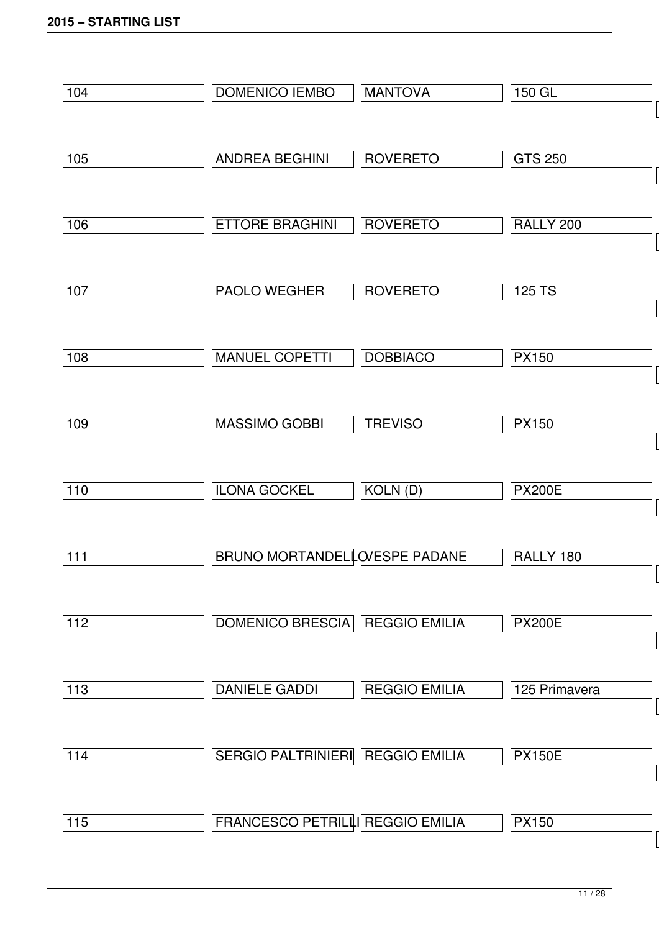| 104 | DOMENICO IEMBO                          | <b>MANTOVA</b>       | 150 GL         |
|-----|-----------------------------------------|----------------------|----------------|
|     |                                         |                      |                |
| 105 | <b>ANDREA BEGHINI</b>                   | <b>ROVERETO</b>      | <b>GTS 250</b> |
|     |                                         |                      |                |
| 106 | <b>ETTORE BRAGHINI</b>                  | <b>ROVERETO</b>      | RALLY 200      |
|     |                                         |                      |                |
| 107 | PAOLO WEGHER                            | <b>ROVERETO</b>      | 125 TS         |
|     |                                         |                      |                |
| 108 | <b>MANUEL COPETTI</b>                   | <b>DOBBIACO</b>      | <b>PX150</b>   |
|     |                                         |                      |                |
| 109 | <b>MASSIMO GOBBI</b>                    | <b>TREVISO</b>       | <b>PX150</b>   |
|     |                                         |                      |                |
| 110 | <b>ILONA GOCKEL</b>                     | KOLN (D)             | <b>PX200E</b>  |
| 111 | BRUNO MORTANDELL WESPE PADANE           |                      | RALLY 180      |
|     |                                         |                      |                |
| 112 | DOMENICO BRESCIA REGGIO EMILIA          |                      | <b>PX200E</b>  |
|     |                                         |                      |                |
| 113 | <b>DANIELE GADDI</b>                    | <b>REGGIO EMILIA</b> | 125 Primavera  |
|     |                                         |                      |                |
| 114 | SERGIO PALTRINIERI REGGIO EMILIA        |                      | <b>PX150E</b>  |
|     |                                         |                      |                |
| 115 | <b>FRANCESCO PETRILLI REGGIO EMILIA</b> |                      | <b>PX150</b>   |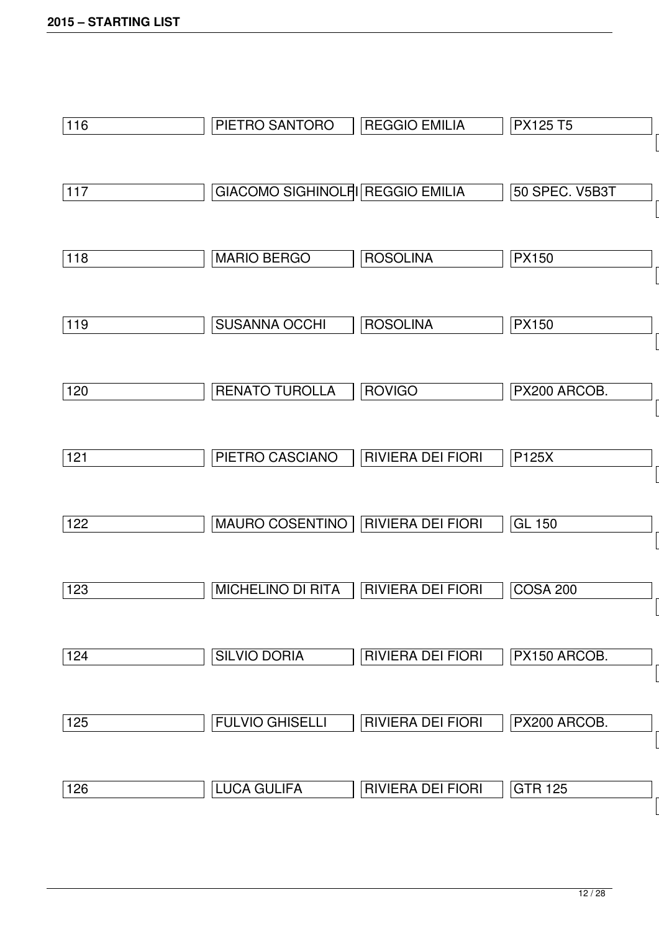| 116 | PIETRO SANTORO                          | <b>REGGIO EMILIA</b>     | <b>PX125 T5</b>       |
|-----|-----------------------------------------|--------------------------|-----------------------|
| 117 | <b>GIACOMO SIGHINOLFI REGGIO EMILIA</b> |                          | <b>50 SPEC. V5B3T</b> |
| 118 | <b>MARIO BERGO</b>                      | <b>ROSOLINA</b>          | <b>PX150</b>          |
| 119 | <b>SUSANNA OCCHI</b>                    | <b>ROSOLINA</b>          | <b>PX150</b>          |
| 120 | <b>RENATO TUROLLA</b>                   | <b>ROVIGO</b>            | PX200 ARCOB.          |
| 121 | PIETRO CASCIANO                         | <b>RIVIERA DEI FIORI</b> | P125X                 |
| 122 | <b>MAURO COSENTINO</b>                  | <b>RIVIERA DEI FIORI</b> | <b>GL 150</b>         |
| 123 | <b>MICHELINO DI RITA</b>                | <b>RIVIERA DEI FIORI</b> | <b>COSA 200</b>       |
| 124 | <b>SILVIO DORIA</b>                     | <b>RIVIERA DEI FIORI</b> | PX150 ARCOB.          |
| 125 | <b>FULVIO GHISELLI</b>                  | <b>RIVIERA DEI FIORI</b> | PX200 ARCOB.          |
| 126 | <b>LUCA GULIFA</b>                      | RIVIERA DEI FIORI        | <b>GTR 125</b>        |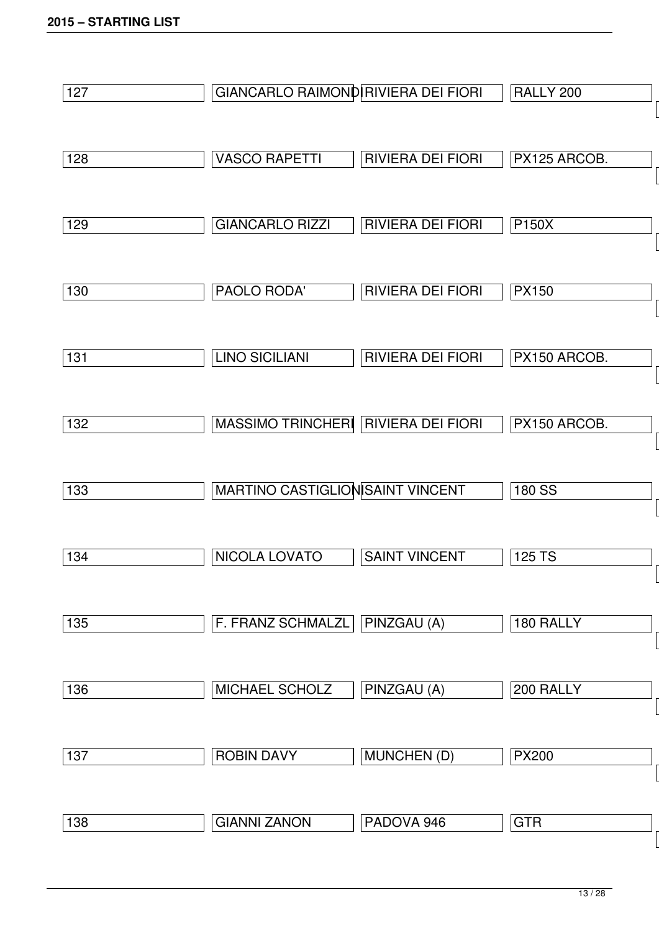| 127 | GIANCARLO RAIMOND RIVIERA DEI FIORI |                          | RALLY 200    |
|-----|-------------------------------------|--------------------------|--------------|
|     |                                     |                          |              |
| 128 | <b>VASCO RAPETTI</b>                | <b>RIVIERA DEI FIORI</b> | PX125 ARCOB. |
|     |                                     |                          |              |
| 129 | <b>GIANCARLO RIZZI</b>              | <b>RIVIERA DEI FIORI</b> | P150X        |
|     |                                     |                          |              |
| 130 | PAOLO RODA'                         | <b>RIVIERA DEI FIORI</b> | <b>PX150</b> |
|     |                                     |                          |              |
| 131 | <b>LINO SICILIANI</b>               | <b>RIVIERA DEI FIORI</b> | PX150 ARCOB. |
|     |                                     |                          |              |
| 132 | <b>MASSIMO TRINCHERI</b>            | <b>RIVIERA DEI FIORI</b> | PX150 ARCOB. |
|     |                                     |                          |              |
| 133 | MARTINO CASTIGLION SAINT VINCENT    |                          | 180 SS       |
|     |                                     |                          |              |
| 134 | NICOLA LOVATO                       | <b>SAINT VINCENT</b>     | 125 TS       |
|     |                                     |                          |              |
| 135 | F. FRANZ SCHMALZL                   | PINZGAU (A)              | 180 RALLY    |
|     |                                     |                          |              |
| 136 | MICHAEL SCHOLZ                      | PINZGAU (A)              | 200 RALLY    |
|     |                                     |                          |              |
| 137 | <b>ROBIN DAVY</b>                   | <b>MUNCHEN (D)</b>       | <b>PX200</b> |
|     |                                     |                          |              |
| 138 | <b>GIANNI ZANON</b>                 | PADOVA 946               | <b>GTR</b>   |
|     |                                     |                          |              |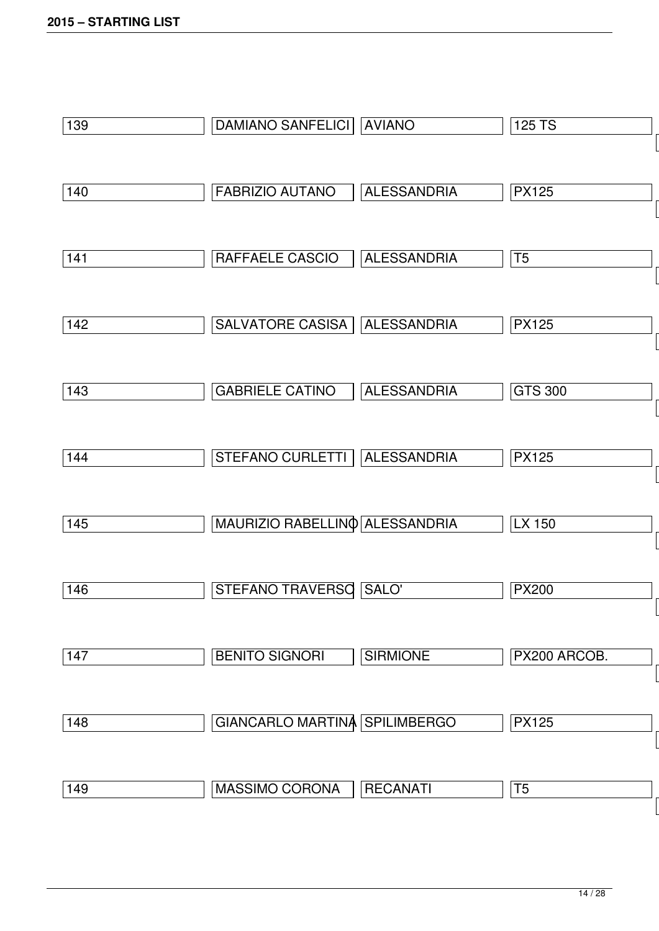| 139 | DAMIANO SANFELICI   AVIANO     |                    | 125 TS         |
|-----|--------------------------------|--------------------|----------------|
| 140 | <b>FABRIZIO AUTANO</b>         | <b>ALESSANDRIA</b> | <b>PX125</b>   |
| 141 | RAFFAELE CASCIO                | <b>ALESSANDRIA</b> | T <sub>5</sub> |
| 142 | SALVATORE CASISA               | <b>ALESSANDRIA</b> | <b>PX125</b>   |
| 143 | <b>GABRIELE CATINO</b>         | <b>ALESSANDRIA</b> | <b>GTS 300</b> |
| 144 | STEFANO CURLETTI               | <b>ALESSANDRIA</b> | <b>PX125</b>   |
| 145 | MAURIZIO RABELLINO ALESSANDRIA |                    | LX 150         |
| 146 | <b>STEFANO TRAVERSO</b>        | SALO'              | <b>PX200</b>   |
| 147 | <b>BENITO SIGNORI</b>          | <b>SIRMIONE</b>    | PX200 ARCOB.   |
| 148 | GIANCARLO MARTINA SPILIMBERGO  |                    | <b>PX125</b>   |
| 149 | MASSIMO CORONA                 | <b>RECANATI</b>    | T <sub>5</sub> |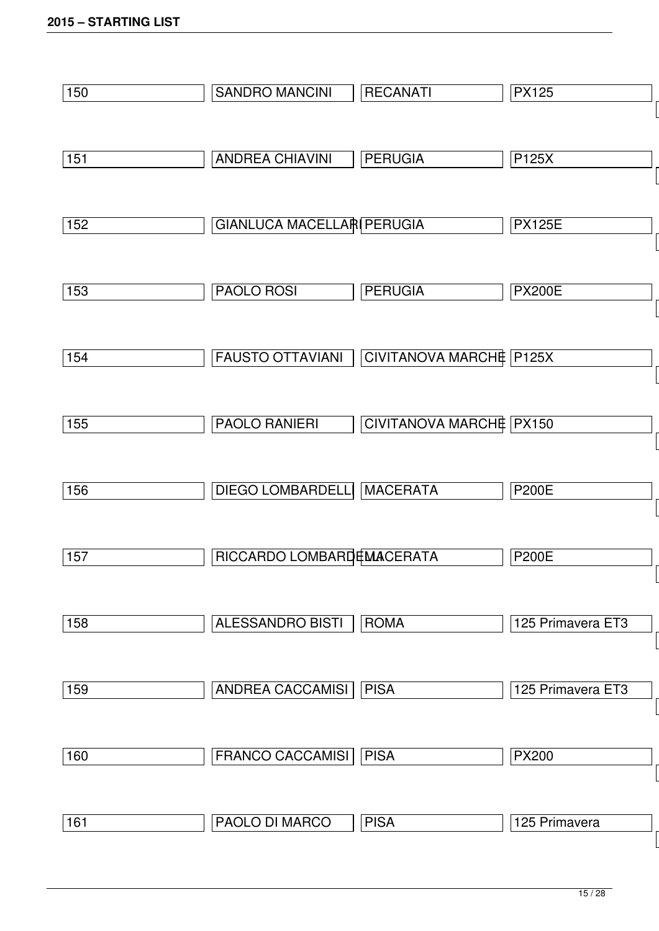| 150 | <b>SANDRO MANCINI</b>      | <b>RECANATI</b>         | <b>PX125</b>      |
|-----|----------------------------|-------------------------|-------------------|
|     |                            |                         |                   |
| 151 | <b>ANDREA CHIAVINI</b>     | <b>PERUGIA</b>          | P125X             |
|     |                            |                         |                   |
| 152 | GIANLUCA MACELLARI PERUGIA |                         | <b>PX125E</b>     |
|     |                            |                         |                   |
| 153 | <b>PAOLO ROSI</b>          | <b>PERUGIA</b>          | <b>PX200E</b>     |
|     |                            |                         |                   |
| 154 | <b>FAUSTO OTTAVIANI</b>    | CIVITANOVA MARCHE P125X |                   |
|     |                            |                         |                   |
| 155 | <b>PAOLO RANIERI</b>       | CIVITANOVA MARCHE PX150 |                   |
|     |                            |                         |                   |
| 156 | <b>DIEGO LOMBARDELLI</b>   | <b>MACERATA</b>         | <b>P200E</b>      |
|     |                            |                         |                   |
| 157 | RICCARDO LOMBARDEMACERATA  |                         | <b>P200E</b>      |
|     |                            |                         |                   |
| 158 | <b>ALESSANDRO BISTI</b>    | <b>ROMA</b>             | 125 Primavera ET3 |
|     |                            |                         |                   |
| 159 | ANDREA CACCAMISI           | <b>PISA</b>             | 125 Primavera ET3 |
|     |                            |                         |                   |
| 160 | FRANCO CACCAMISI           | <b>PISA</b>             | <b>PX200</b>      |
|     |                            |                         |                   |
| 161 | PAOLO DI MARCO             | <b>PISA</b>             | 125 Primavera     |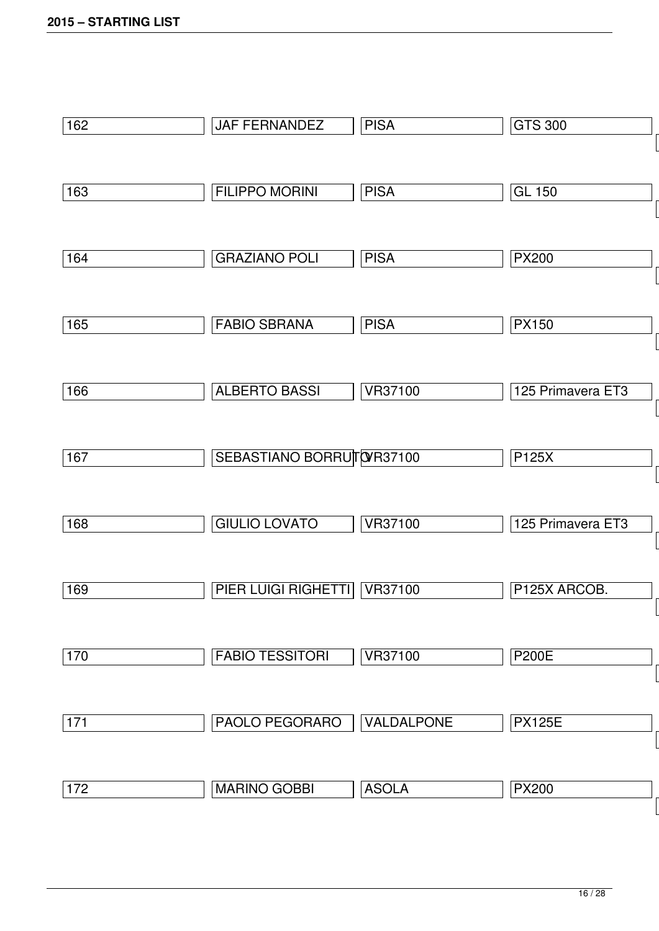| 162   | JAF FERNANDEZ             | <b>PISA</b>    | <b>GTS 300</b>    |
|-------|---------------------------|----------------|-------------------|
| 163   | <b>FILIPPO MORINI</b>     | <b>PISA</b>    | <b>GL 150</b>     |
| 164   | <b>GRAZIANO POLI</b>      | <b>PISA</b>    | <b>PX200</b>      |
| 165   | <b>FABIO SBRANA</b>       | <b>PISA</b>    | <b>PX150</b>      |
| 166   | <b>ALBERTO BASSI</b>      | <b>VR37100</b> | 125 Primavera ET3 |
| 167   | SEBASTIANO BORRUTO R37100 |                | P125X             |
| 168   | <b>GIULIO LOVATO</b>      | <b>VR37100</b> | 125 Primavera ET3 |
| 169   | PIER LUIGI RIGHETTI       | <b>VR37100</b> | P125X ARCOB.      |
| 170   | <b>FABIO TESSITORI</b>    | <b>VR37100</b> | <b>P200E</b>      |
| $171$ | PAOLO PEGORARO            | VALDALPONE     | <b>PX125E</b>     |
| 172   | <b>MARINO GOBBI</b>       | <b>ASOLA</b>   | <b>PX200</b>      |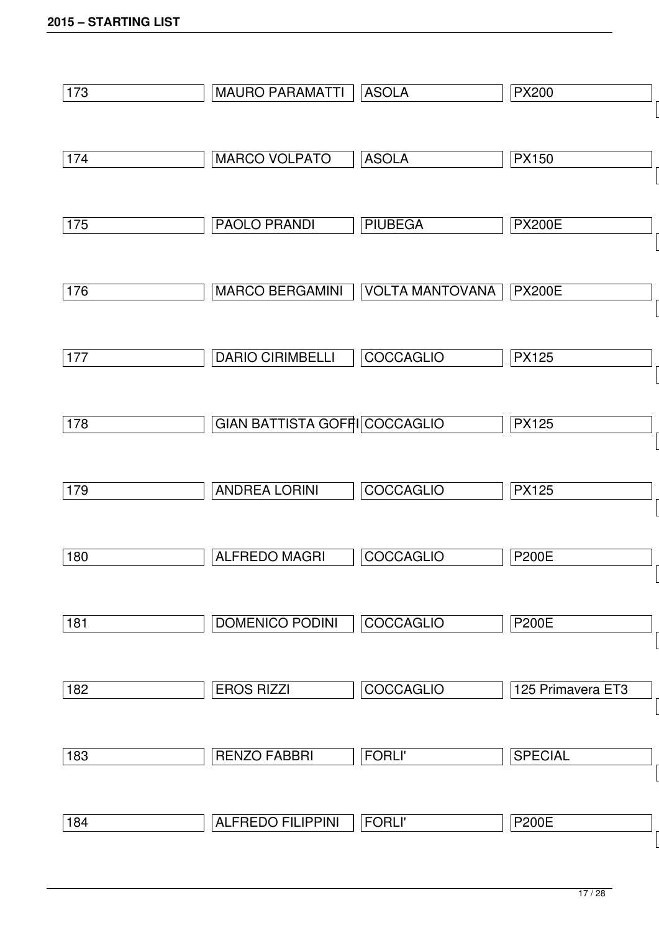| 173 | <b>MAURO PARAMATTI</b>        | <b>ASOLA</b>           | <b>PX200</b>      |
|-----|-------------------------------|------------------------|-------------------|
|     |                               |                        |                   |
| 174 | MARCO VOLPATO                 | <b>ASOLA</b>           | <b>PX150</b>      |
|     |                               |                        |                   |
| 175 | <b>PAOLO PRANDI</b>           | <b>PIUBEGA</b>         | <b>PX200E</b>     |
|     |                               |                        |                   |
| 176 | <b>MARCO BERGAMINI</b>        | <b>VOLTA MANTOVANA</b> | <b>PX200E</b>     |
|     |                               |                        |                   |
| 177 | <b>DARIO CIRIMBELLI</b>       | COCCAGLIO              | <b>PX125</b>      |
|     |                               |                        |                   |
| 178 | GIAN BATTISTA GOFFI COCCAGLIO |                        | <b>PX125</b>      |
|     |                               |                        |                   |
| 179 | <b>ANDREA LORINI</b>          | COCCAGLIO              | <b>PX125</b>      |
|     |                               |                        |                   |
| 180 | <b>ALFREDO MAGRI</b>          | <b>COCCAGLIO</b>       | <b>P200E</b>      |
|     |                               |                        |                   |
| 181 | <b>DOMENICO PODINI</b>        | COCCAGLIO              | <b>P200E</b>      |
|     |                               |                        |                   |
| 182 | <b>EROS RIZZI</b>             | COCCAGLIO              | 125 Primavera ET3 |
|     |                               |                        |                   |
| 183 | <b>RENZO FABBRI</b>           | <b>FORLI'</b>          | <b>SPECIAL</b>    |
|     |                               |                        |                   |
| 184 | <b>ALFREDO FILIPPINI</b>      | <b>FORLI'</b>          | <b>P200E</b>      |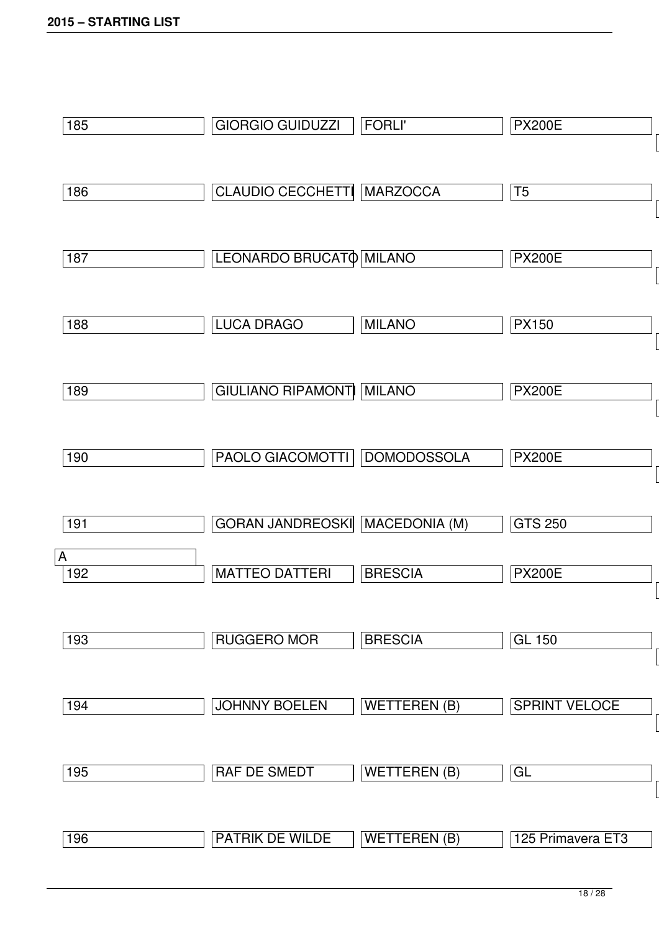| 185      | <b>GIORGIO GUIDUZZI</b>               | <b>FORLI'</b>       | <b>PX200E</b>        |
|----------|---------------------------------------|---------------------|----------------------|
|          |                                       |                     |                      |
| 186      | CLAUDIO CECCHETTI MARZOCCA            |                     | T <sub>5</sub>       |
|          |                                       |                     |                      |
| 187      | LEONARDO BRUCATO MILANO               |                     | <b>PX200E</b>        |
|          |                                       |                     |                      |
| 188      | <b>LUCA DRAGO</b>                     | <b>MILANO</b>       | <b>PX150</b>         |
|          |                                       |                     |                      |
| 189      | <b>GIULIANO RIPAMONT MILANO</b>       |                     | <b>PX200E</b>        |
|          |                                       |                     |                      |
| 190      | PAOLO GIACOMOTTI DOMODOSSOLA          |                     | <b>PX200E</b>        |
|          |                                       |                     |                      |
| 191      | <b>GORAN JANDREOSKI MACEDONIA (M)</b> |                     | <b>GTS 250</b>       |
| A<br>192 | <b>MATTEO DATTERI</b>                 | <b>BRESCIA</b>      | <b>PX200E</b>        |
|          |                                       |                     |                      |
| 193      | <b>RUGGERO MOR</b>                    | <b>BRESCIA</b>      | <b>GL 150</b>        |
|          |                                       |                     |                      |
| 194      | <b>JOHNNY BOELEN</b>                  | <b>WETTEREN (B)</b> | <b>SPRINT VELOCE</b> |
|          |                                       |                     |                      |
| 195      | RAF DE SMEDT                          | <b>WETTEREN (B)</b> | GL                   |
|          |                                       |                     |                      |
| 196      | PATRIK DE WILDE                       | <b>WETTEREN (B)</b> | 125 Primavera ET3    |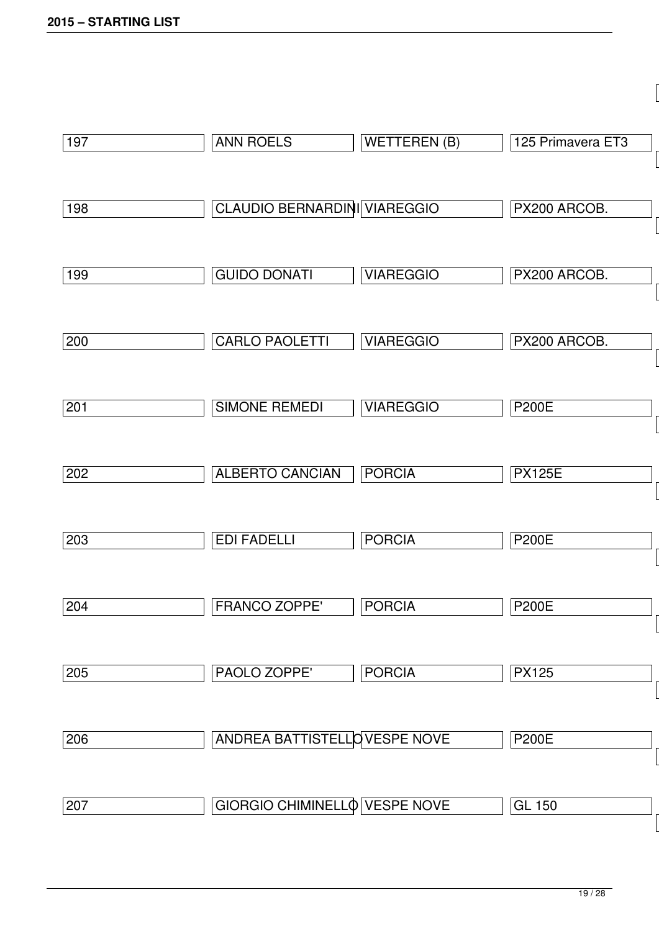| 197 | <b>ANN ROELS</b>                    | <b>WETTEREN (B)</b> | 125 Primavera ET3 |
|-----|-------------------------------------|---------------------|-------------------|
| 198 | <b>CLAUDIO BERNARDINI VIAREGGIO</b> |                     | PX200 ARCOB.      |
| 199 | <b>GUIDO DONATI</b>                 | <b>VIAREGGIO</b>    | PX200 ARCOB.      |
| 200 | CARLO PAOLETTI                      | <b>VIAREGGIO</b>    | PX200 ARCOB.      |
| 201 | <b>SIMONE REMEDI</b>                | <b>VIAREGGIO</b>    | <b>P200E</b>      |
| 202 | <b>ALBERTO CANCIAN</b>              | <b>PORCIA</b>       | <b>PX125E</b>     |
| 203 | <b>EDI FADELLI</b>                  | <b>PORCIA</b>       | <b>P200E</b>      |
| 204 | <b>FRANCO ZOPPE'</b>                | <b>PORCIA</b>       | <b>P200E</b>      |
| 205 | PAOLO ZOPPE'                        | <b>PORCIA</b>       | <b>PX125</b>      |
| 206 | ANDREA BATTISTELLOVESPE NOVE        |                     | <b>P200E</b>      |
| 207 | GIORGIO CHIMINELLO VESPE NOVE       |                     | <b>GL 150</b>     |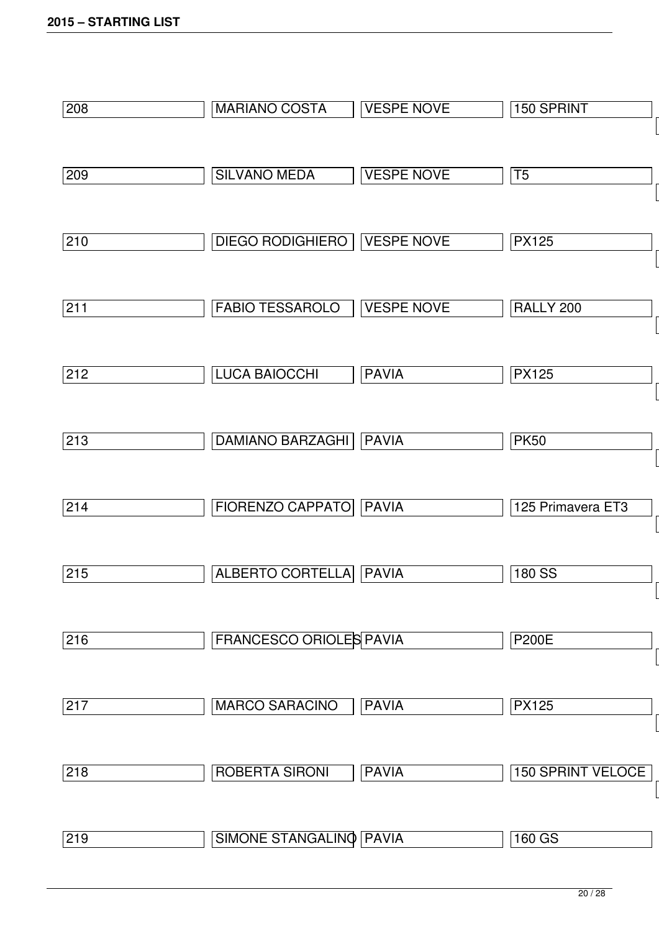| 208 | <b>MARIANO COSTA</b>           | <b>VESPE NOVE</b> | 150 SPRINT               |
|-----|--------------------------------|-------------------|--------------------------|
|     |                                |                   |                          |
| 209 | <b>SILVANO MEDA</b>            | <b>VESPE NOVE</b> | T <sub>5</sub>           |
|     |                                |                   |                          |
| 210 | <b>DIEGO RODIGHIERO</b>        | <b>VESPE NOVE</b> | <b>PX125</b>             |
|     |                                |                   |                          |
| 211 | <b>FABIO TESSAROLO</b>         | <b>VESPE NOVE</b> | RALLY 200                |
|     |                                |                   |                          |
| 212 | <b>LUCA BAIOCCHI</b>           | <b>PAVIA</b>      | <b>PX125</b>             |
|     |                                |                   |                          |
| 213 | <b>DAMIANO BARZAGHI</b>        | <b>PAVIA</b>      | <b>PK50</b>              |
|     |                                |                   |                          |
| 214 | <b>FIORENZO CAPPATO</b>        | <b>PAVIA</b>      | 125 Primavera ET3        |
|     |                                |                   |                          |
| 215 | <b>ALBERTO CORTELLA</b>        | <b>PAVIA</b>      | 180 SS                   |
|     |                                |                   |                          |
| 216 | <b>FRANCESCO ORIOLES PAVIA</b> |                   | <b>P200E</b>             |
|     |                                |                   |                          |
| 217 | <b>MARCO SARACINO</b>          | <b>PAVIA</b>      | <b>PX125</b>             |
|     |                                |                   |                          |
| 218 | <b>ROBERTA SIRONI</b>          | <b>PAVIA</b>      | <b>150 SPRINT VELOCE</b> |
|     |                                |                   |                          |
| 219 | SIMONE STANGALINO PAVIA        |                   | 160 GS                   |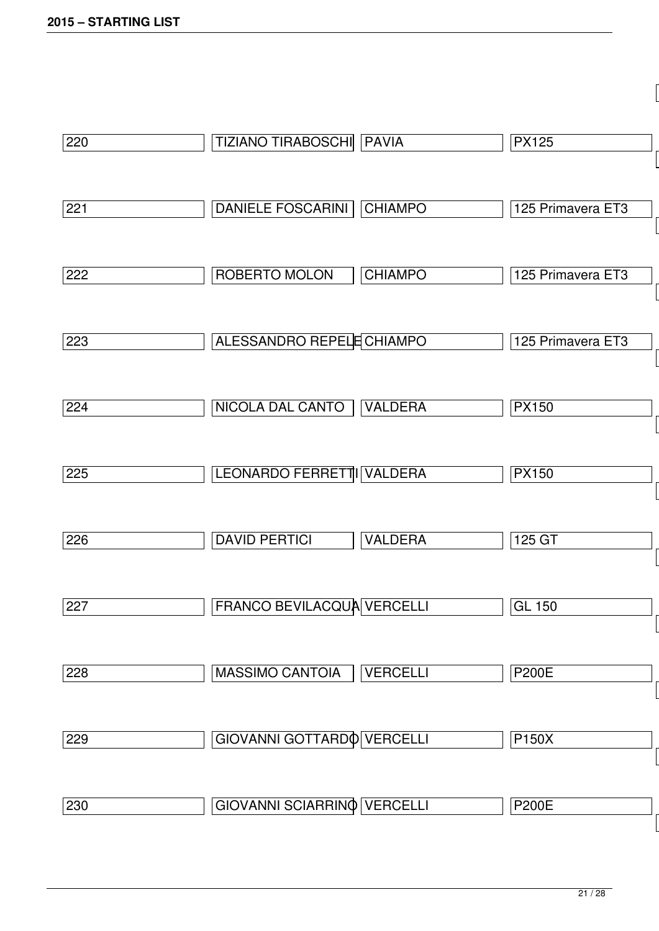| 220 | TIZIANO TIRABOSCHI   PAVIA                 | <b>PX125</b>      |
|-----|--------------------------------------------|-------------------|
| 221 | <b>DANIELE FOSCARINI</b><br><b>CHIAMPO</b> | 125 Primavera ET3 |
| 222 | ROBERTO MOLON<br><b>CHIAMPO</b>            | 125 Primavera ET3 |
| 223 | ALESSANDRO REPELE CHIAMPO                  | 125 Primavera ET3 |
| 224 | NICOLA DAL CANTO<br><b>VALDERA</b>         | <b>PX150</b>      |
| 225 | LEONARDO FERRETTI VALDERA                  | <b>PX150</b>      |
| 226 | <b>DAVID PERTICI</b><br><b>VALDERA</b>     | 125 GT            |
| 227 | FRANCO BEVILACQUA VERCELLI                 | <b>GL 150</b>     |
| 228 | <b>VERCELLI</b><br><b>MASSIMO CANTOIA</b>  | <b>P200E</b>      |
| 229 | GIOVANNI GOTTARDO VERCELLI                 | <b>P150X</b>      |
| 230 | GIOVANNI SCIARRINO VERCELLI                | <b>P200E</b>      |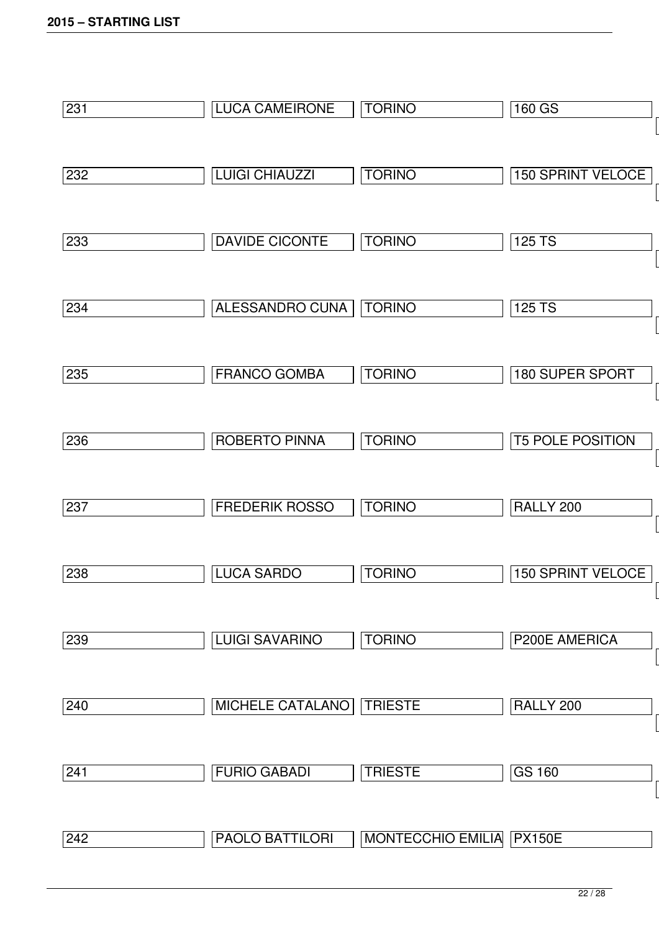| 231 | <b>LUCA CAMEIRONE</b> | <b>TORINO</b>            | 160 GS                   |
|-----|-----------------------|--------------------------|--------------------------|
|     |                       |                          |                          |
| 232 | <b>LUIGI CHIAUZZI</b> | <b>TORINO</b>            | <b>150 SPRINT VELOCE</b> |
| 233 | <b>DAVIDE CICONTE</b> | <b>TORINO</b>            | 125 TS                   |
| 234 | ALESSANDRO CUNA       | <b>TORINO</b>            | <b>125 TS</b>            |
| 235 | <b>FRANCO GOMBA</b>   | <b>TORINO</b>            | <b>180 SUPER SPORT</b>   |
| 236 | <b>ROBERTO PINNA</b>  | <b>TORINO</b>            | <b>T5 POLE POSITION</b>  |
| 237 | <b>FREDERIK ROSSO</b> | <b>TORINO</b>            | RALLY 200                |
| 238 | <b>LUCA SARDO</b>     | <b>TORINO</b>            | <b>150 SPRINT VELOCE</b> |
| 239 | <b>LUIGI SAVARINO</b> | <b>TORINO</b>            | P200E AMERICA            |
| 240 | MICHELE CATALANO      | <b>TRIESTE</b>           | RALLY 200                |
| 241 | <b>FURIO GABADI</b>   | <b>TRIESTE</b>           | <b>GS 160</b>            |
| 242 | PAOLO BATTILORI       | MONTECCHIO EMILIA PX150E |                          |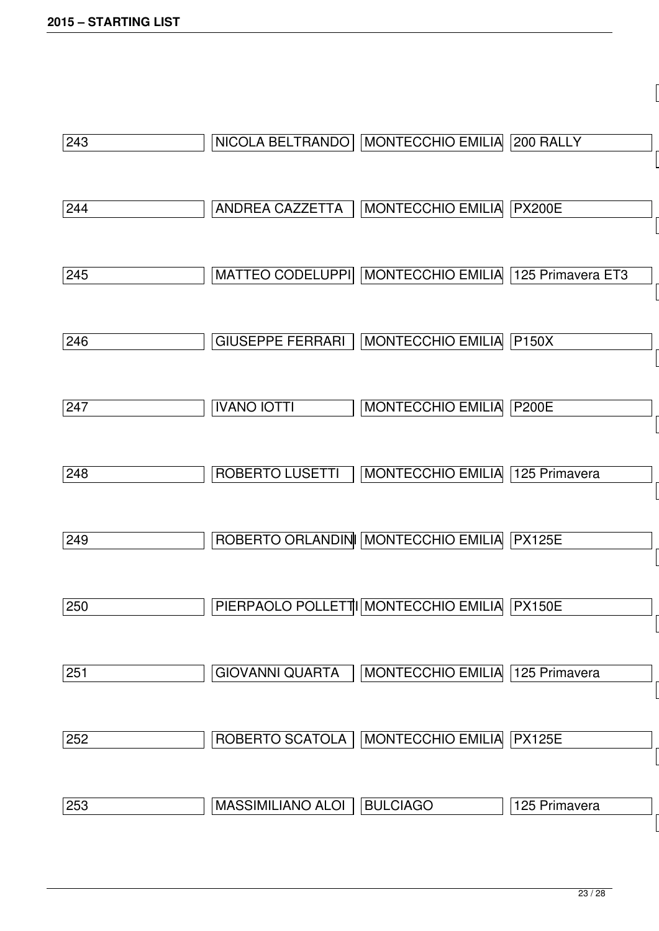| 243 | NICOLA BELTRANDO         | MONTECCHIO EMILIA 200 RALLY          |                   |
|-----|--------------------------|--------------------------------------|-------------------|
| 244 | ANDREA CAZZETTA          | MONTECCHIO EMILIA                    | <b>PX200E</b>     |
| 245 | MATTEO CODELUPPI         | <b>MONTECCHIO EMILIA</b>             | 125 Primavera ET3 |
| 246 | <b>GIUSEPPE FERRARI</b>  | <b>MONTECCHIO EMILIA</b>             | <b>P150X</b>      |
| 247 | <b>IVANO IOTTI</b>       | <b>MONTECCHIO EMILIA</b>             | <b>P200E</b>      |
| 248 | ROBERTO LUSETTI          | MONTECCHIO EMILIA                    | 125 Primavera     |
| 249 |                          | ROBERTO ORLANDIN MONTECCHIO EMILIA   | <b>PX125E</b>     |
| 250 |                          | PIERPAOLO POLLETTI MONTECCHIO EMILIA | <b>PX150E</b>     |
| 251 | <b>GIOVANNI QUARTA</b>   | MONTECCHIO EMILIA                    | 125 Primavera     |
| 252 | ROBERTO SCATOLA          | MONTECCHIO EMILIA                    | <b>PX125E</b>     |
| 253 | <b>MASSIMILIANO ALOI</b> | <b>BULCIAGO</b>                      | 125 Primavera     |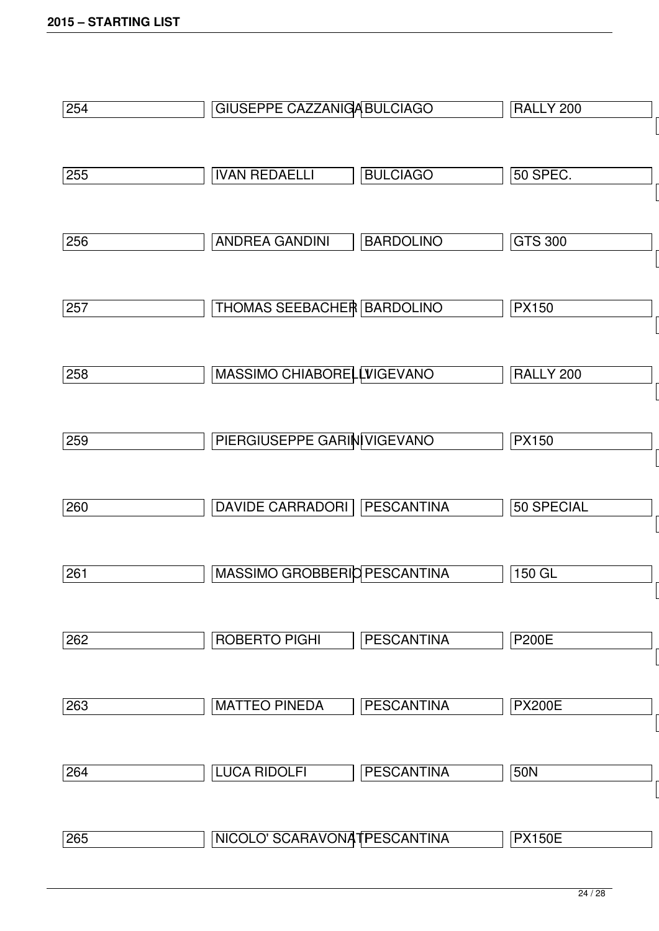| 254 | <b>GIUSEPPE CAZZANIGA BULCIAGO</b>  |                   | RALLY 200       |
|-----|-------------------------------------|-------------------|-----------------|
| 255 | <b>IVAN REDAELLI</b>                | <b>BULCIAGO</b>   | <b>50 SPEC.</b> |
| 256 | <b>ANDREA GANDINI</b>               | <b>BARDOLINO</b>  | <b>GTS 300</b>  |
| 257 | <b>THOMAS SEEBACHER BARDOLINO</b>   |                   | <b>PX150</b>    |
| 258 | MASSIMO CHIABORELLVIGEVANO          |                   | RALLY 200       |
| 259 | PIERGIUSEPPE GARIN VIGEVANO         |                   | <b>PX150</b>    |
| 260 | <b>DAVIDE CARRADORI</b>             | <b>PESCANTINA</b> | 50 SPECIAL      |
| 261 | <b>MASSIMO GROBBERIO PESCANTINA</b> |                   | 150 GL          |
| 262 | <b>ROBERTO PIGHI</b>                | <b>PESCANTINA</b> | <b>P200E</b>    |
| 263 | <b>MATTEO PINEDA</b>                | <b>PESCANTINA</b> | <b>PX200E</b>   |
| 264 | <b>LUCA RIDOLFI</b>                 | <b>PESCANTINA</b> | 50N             |
| 265 | NICOLO' SCARAVONATPESCANTINA        |                   | <b>PX150E</b>   |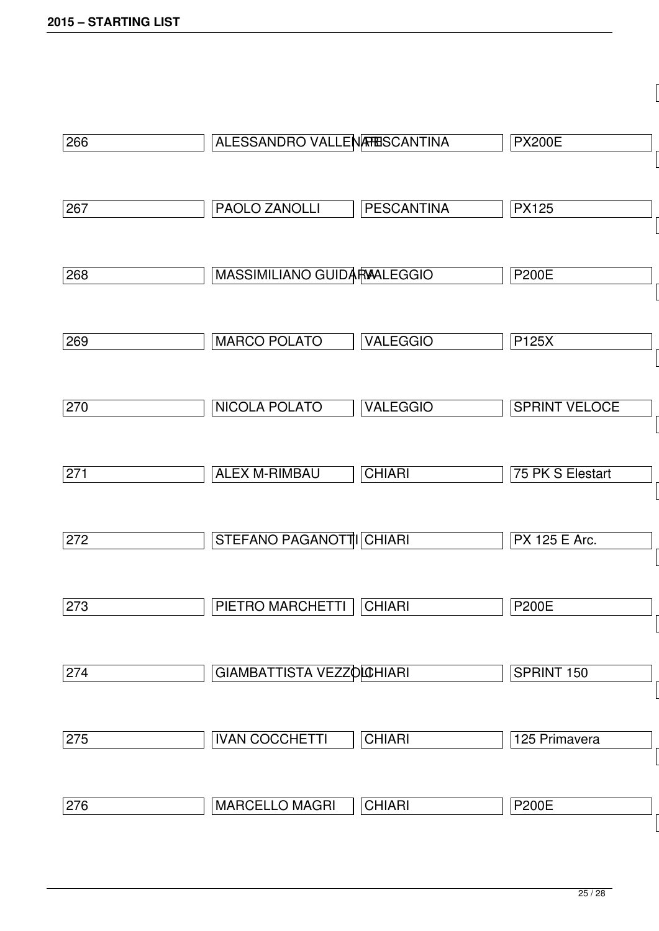| 266 | ALESSANDRO VALLENARESCANTINA |                   | <b>PX200E</b>        |
|-----|------------------------------|-------------------|----------------------|
| 267 | PAOLO ZANOLLI                | <b>PESCANTINA</b> | <b>PX125</b>         |
| 268 | MASSIMILIANO GUIDARAALEGGIO  |                   | <b>P200E</b>         |
| 269 | <b>MARCO POLATO</b>          | <b>VALEGGIO</b>   | P125X                |
| 270 | <b>NICOLA POLATO</b>         | <b>VALEGGIO</b>   | <b>SPRINT VELOCE</b> |
| 271 | <b>ALEX M-RIMBAU</b>         | <b>CHIARI</b>     | 75 PK S Elestart     |
| 272 | STEFANO PAGANOTTI CHIARI     |                   | <b>PX 125 E Arc.</b> |
| 273 | PIETRO MARCHETTI             | <b>CHIARI</b>     | <b>P200E</b>         |
| 274 | GIAMBATTISTA VEZZOLCHIARI    |                   | SPRINT 150           |
| 275 | <b>IVAN COCCHETTI</b>        | <b>CHIARI</b>     | 125 Primavera        |
| 276 | <b>MARCELLO MAGRI</b>        | <b>CHIARI</b>     | <b>P200E</b>         |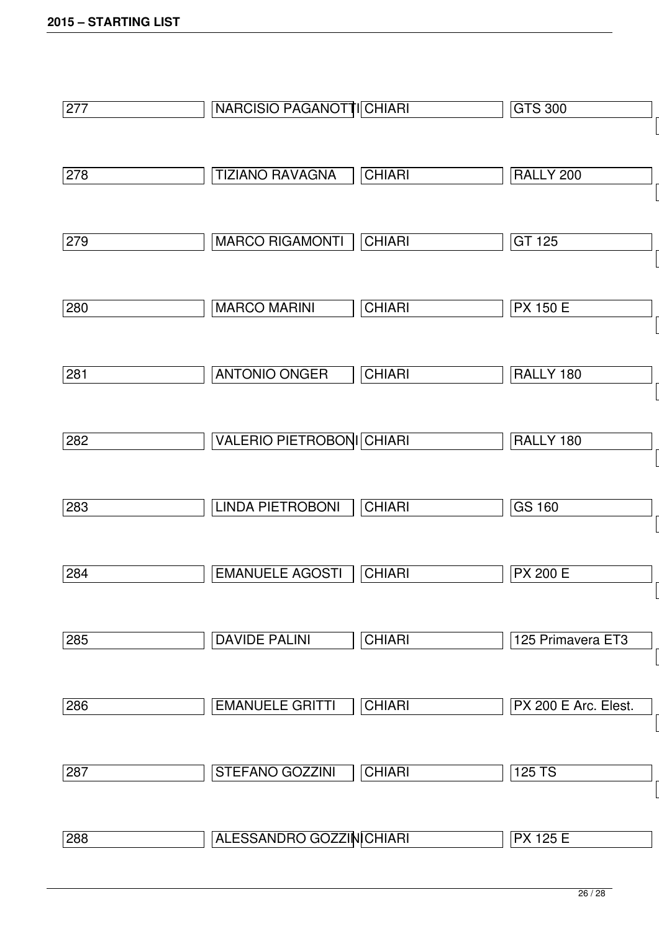| 277 | NARCISIO PAGANOTTI CHIARI        |               | <b>GTS 300</b>       |
|-----|----------------------------------|---------------|----------------------|
|     |                                  |               |                      |
| 278 | <b>TIZIANO RAVAGNA</b>           | <b>CHIARI</b> | RALLY 200            |
|     |                                  |               |                      |
| 279 | <b>MARCO RIGAMONTI</b>           | <b>CHIARI</b> | GT 125               |
|     |                                  |               |                      |
| 280 | <b>MARCO MARINI</b>              | <b>CHIARI</b> | <b>PX 150 E</b>      |
|     |                                  |               |                      |
| 281 | <b>ANTONIO ONGER</b>             | <b>CHIARI</b> | RALLY 180            |
|     |                                  |               |                      |
| 282 | <b>VALERIO PIETROBONI CHIARI</b> |               | RALLY 180            |
|     |                                  |               |                      |
| 283 | <b>LINDA PIETROBONI</b>          | <b>CHIARI</b> | <b>GS 160</b>        |
|     |                                  |               |                      |
| 284 | <b>EMANUELE AGOSTI</b>           | <b>CHIARI</b> | <b>PX 200 E</b>      |
|     |                                  |               |                      |
| 285 | <b>DAVIDE PALINI</b>             | <b>CHIARI</b> | 125 Primavera ET3    |
|     |                                  |               |                      |
| 286 | <b>EMANUELE GRITTI</b>           | <b>CHIARI</b> | PX 200 E Arc. Elest. |
|     |                                  |               |                      |
| 287 | STEFANO GOZZINI                  | <b>CHIARI</b> | 125 TS               |
|     |                                  |               | <b>PX 125 E</b>      |
| 288 | ALESSANDRO GOZZIN CHIARI         |               |                      |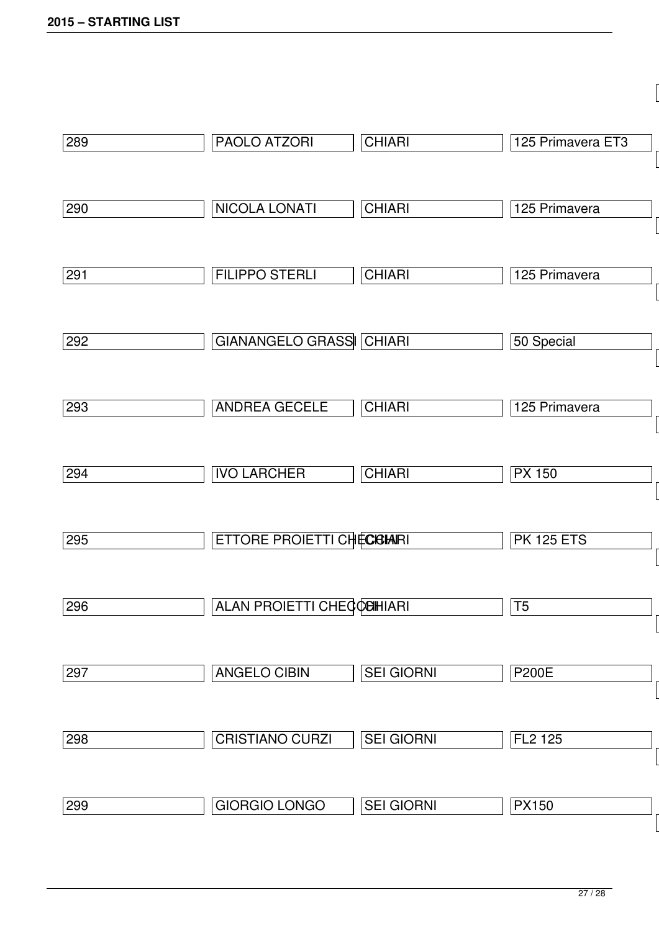| 289 | PAOLO ATZORI                     | <b>CHIARI</b>     | 125 Primavera ET3 |
|-----|----------------------------------|-------------------|-------------------|
| 290 | <b>NICOLA LONATI</b>             | <b>CHIARI</b>     | 125 Primavera     |
| 291 | <b>FILIPPO STERLI</b>            | <b>CHIARI</b>     | 125 Primavera     |
| 292 | <b>GIANANGELO GRASS CHIARI</b>   |                   | 50 Special        |
| 293 | <b>ANDREA GECELE</b>             | <b>CHIARI</b>     | 125 Primavera     |
| 294 | <b>IVO LARCHER</b>               | <b>CHIARI</b>     | <b>PX 150</b>     |
| 295 | <b>ETTORE PROIETTI CHECGIARI</b> |                   | <b>PK 125 ETS</b> |
| 296 | <b>ALAN PROIETTI CHECCEHIARI</b> |                   | T <sub>5</sub>    |
| 297 | <b>ANGELO CIBIN</b>              | <b>SEI GIORNI</b> | <b>P200E</b>      |
| 298 | <b>CRISTIANO CURZI</b>           | <b>SEI GIORNI</b> | FL2 125           |
|     |                                  |                   |                   |
| 299 | <b>GIORGIO LONGO</b>             | <b>SEI GIORNI</b> | <b>PX150</b>      |